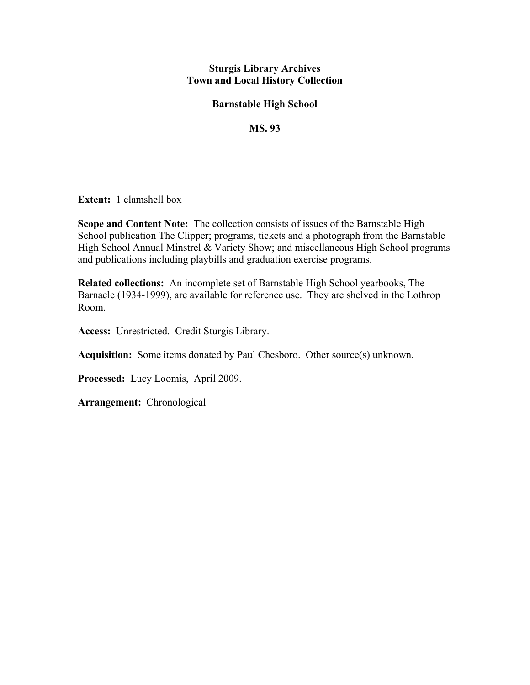## **Sturgis Library Archives Town and Local History Collection**

## **Barnstable High School**

## **MS. 93**

**Extent:** 1 clamshell box

**Scope and Content Note:** The collection consists of issues of the Barnstable High School publication The Clipper; programs, tickets and a photograph from the Barnstable High School Annual Minstrel & Variety Show; and miscellaneous High School programs and publications including playbills and graduation exercise programs.

**Related collections:** An incomplete set of Barnstable High School yearbooks, The Barnacle (1934-1999), are available for reference use. They are shelved in the Lothrop Room.

**Access:** Unrestricted. Credit Sturgis Library.

**Acquisition:** Some items donated by Paul Chesboro. Other source(s) unknown.

**Processed:** Lucy Loomis, April 2009.

**Arrangement:** Chronological